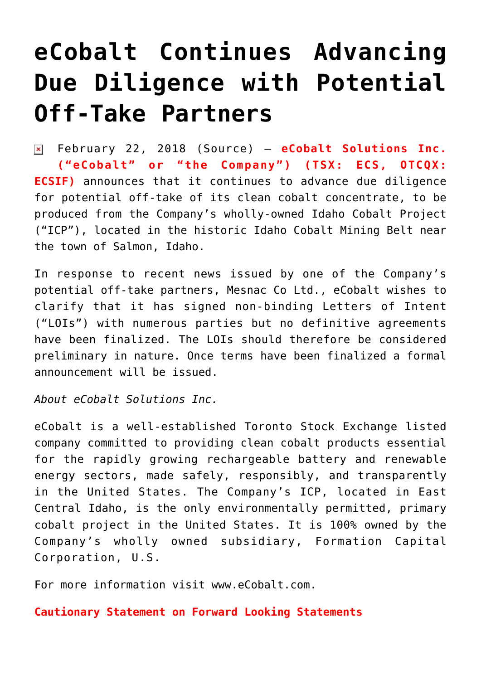## **[eCobalt Continues Advancing](https://investorintel.com/markets/technology-metals/technology-metals-news/ecobalt-continues-advancing-due-diligence-potential-off-take-partners/) [Due Diligence with Potential](https://investorintel.com/markets/technology-metals/technology-metals-news/ecobalt-continues-advancing-due-diligence-potential-off-take-partners/) [Off-Take Partners](https://investorintel.com/markets/technology-metals/technology-metals-news/ecobalt-continues-advancing-due-diligence-potential-off-take-partners/)**

February 22, 2018 ([Source](https://investorintel.com/iintel-members/ecobalt-solutions-inc/)) — **eCobalt Solutions Inc. ("eCobalt" or "the Company") (TSX: ECS, OTCQX: ECSIF)** announces that it continues to advance due diligence for potential off-take of its clean cobalt concentrate, to be produced from the Company's wholly-owned Idaho Cobalt Project ("ICP"), located in the historic Idaho Cobalt Mining Belt near the town of Salmon, Idaho.

In response to recent news issued by one of the Company's potential off-take partners, Mesnac Co Ltd., eCobalt wishes to clarify that it has signed non-binding Letters of Intent ("LOIs") with numerous parties but no definitive agreements have been finalized. The LOIs should therefore be considered preliminary in nature. Once terms have been finalized a formal announcement will be issued.

*About eCobalt Solutions Inc.*

eCobalt is a well-established Toronto Stock Exchange listed company committed to providing clean cobalt products essential for the rapidly growing rechargeable battery and renewable energy sectors, made safely, responsibly, and transparently in the United States. The Company's ICP, located in East Central Idaho, is the only environmentally permitted, primary cobalt project in the United States. It is 100% owned by the Company's wholly owned subsidiary, Formation Capital Corporation, U.S.

For more information visit [www.eCobalt.com.](http://www.ecobalt.com/)

**Cautionary Statement on Forward Looking Statements**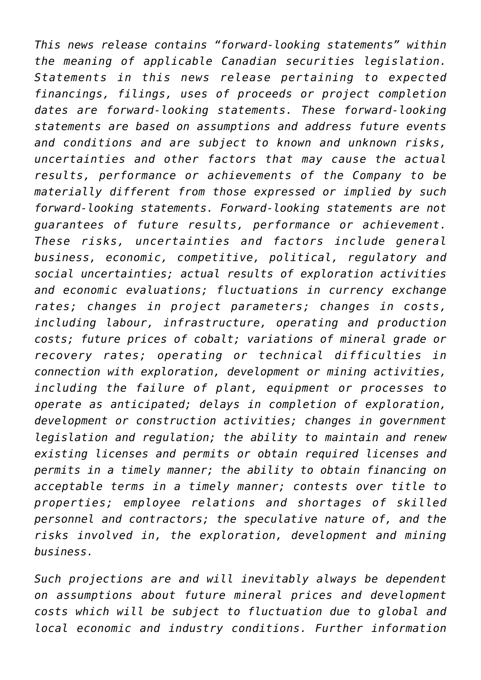*This news release contains "forward-looking statements" within the meaning of applicable Canadian securities legislation. Statements in this news release pertaining to expected financings, filings, uses of proceeds or project completion dates are forward-looking statements. These forward-looking statements are based on assumptions and address future events and conditions and are subject to known and unknown risks, uncertainties and other factors that may cause the actual results, performance or achievements of the Company to be materially different from those expressed or implied by such forward-looking statements. Forward-looking statements are not guarantees of future results, performance or achievement. These risks, uncertainties and factors include general business, economic, competitive, political, regulatory and social uncertainties; actual results of exploration activities and economic evaluations; fluctuations in currency exchange rates; changes in project parameters; changes in costs, including labour, infrastructure, operating and production costs; future prices of cobalt; variations of mineral grade or recovery rates; operating or technical difficulties in connection with exploration, development or mining activities, including the failure of plant, equipment or processes to operate as anticipated; delays in completion of exploration, development or construction activities; changes in government legislation and regulation; the ability to maintain and renew existing licenses and permits or obtain required licenses and permits in a timely manner; the ability to obtain financing on acceptable terms in a timely manner; contests over title to properties; employee relations and shortages of skilled personnel and contractors; the speculative nature of, and the risks involved in, the exploration, development and mining business.*

*Such projections are and will inevitably always be dependent on assumptions about future mineral prices and development costs which will be subject to fluctuation due to global and local economic and industry conditions. Further information*